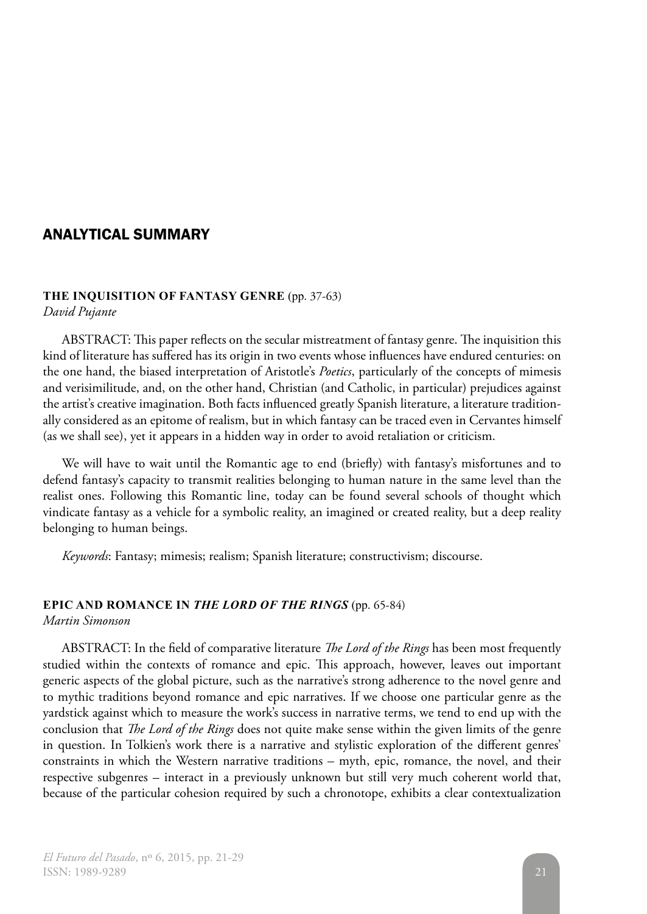## ANALYTICAL SUMMARY

#### **THE INQUISITION OF FANTASY GENRE** (pp. 37-63) *David Pujante*

ABSTRACT: This paper reflects on the secular mistreatment of fantasy genre. The inquisition this kind of literature has suffered has its origin in two events whose influences have endured centuries: on the one hand, the biased interpretation of Aristotle's *Poetics*, particularly of the concepts of mimesis and verisimilitude, and, on the other hand, Christian (and Catholic, in particular) prejudices against the artist's creative imagination. Both facts influenced greatly Spanish literature, a literature traditionally considered as an epitome of realism, but in which fantasy can be traced even in Cervantes himself (as we shall see), yet it appears in a hidden way in order to avoid retaliation or criticism.

We will have to wait until the Romantic age to end (briefly) with fantasy's misfortunes and to defend fantasy's capacity to transmit realities belonging to human nature in the same level than the realist ones. Following this Romantic line, today can be found several schools of thought which vindicate fantasy as a vehicle for a symbolic reality, an imagined or created reality, but a deep reality belonging to human beings.

*Keywords*: Fantasy; mimesis; realism; Spanish literature; constructivism; discourse.

# **EPIC AND ROMANCE IN** *THE LORD OF THE RINGS* (pp. 65-84)

*Martin Simonson*

ABSTRACT: In the field of comparative literature *The Lord of the Rings* has been most frequently studied within the contexts of romance and epic. This approach, however, leaves out important generic aspects of the global picture, such as the narrative's strong adherence to the novel genre and to mythic traditions beyond romance and epic narratives. If we choose one particular genre as the yardstick against which to measure the work's success in narrative terms, we tend to end up with the conclusion that *The Lord of the Rings* does not quite make sense within the given limits of the genre in question. In Tolkien's work there is a narrative and stylistic exploration of the different genres' constraints in which the Western narrative traditions – myth, epic, romance, the novel, and their respective subgenres – interact in a previously unknown but still very much coherent world that, because of the particular cohesion required by such a chronotope, exhibits a clear contextualization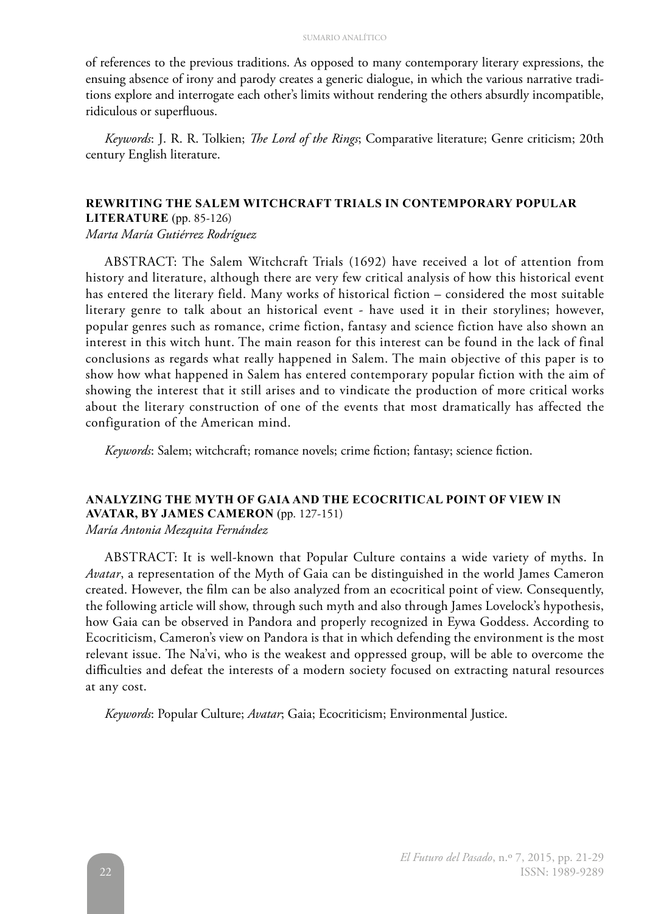of references to the previous traditions. As opposed to many contemporary literary expressions, the ensuing absence of irony and parody creates a generic dialogue, in which the various narrative traditions explore and interrogate each other's limits without rendering the others absurdly incompatible, ridiculous or superfluous.

*Keywords*: J. R. R. Tolkien; *The Lord of the Rings*; Comparative literature; Genre criticism; 20th century English literature.

## **REWRITING THE SALEM WITCHCRAFT TRIALS IN CONTEMPORARY POPULAR**

**LITERATURE** (pp. 85-126) *Marta María Gutiérrez Rodríguez*

ABSTRACT: The Salem Witchcraft Trials (1692) have received a lot of attention from history and literature, although there are very few critical analysis of how this historical event has entered the literary field. Many works of historical fiction – considered the most suitable literary genre to talk about an historical event - have used it in their storylines; however, popular genres such as romance, crime fiction, fantasy and science fiction have also shown an interest in this witch hunt. The main reason for this interest can be found in the lack of final conclusions as regards what really happened in Salem. The main objective of this paper is to show how what happened in Salem has entered contemporary popular fiction with the aim of showing the interest that it still arises and to vindicate the production of more critical works about the literary construction of one of the events that most dramatically has affected the configuration of the American mind.

*Keywords*: Salem; witchcraft; romance novels; crime fiction; fantasy; science fiction.

### **ANALYZING THE MYTH OF GAIA AND THE ECOCRITICAL POINT OF VIEW IN AVATAR, BY JAMES CAMERON** (pp. 127-151)

*María Antonia Mezquita Fernández*

ABSTRACT: It is well-known that Popular Culture contains a wide variety of myths. In *Avatar*, a representation of the Myth of Gaia can be distinguished in the world James Cameron created. However, the film can be also analyzed from an ecocritical point of view. Consequently, the following article will show, through such myth and also through James Lovelock's hypothesis, how Gaia can be observed in Pandora and properly recognized in Eywa Goddess. According to Ecocriticism, Cameron's view on Pandora is that in which defending the environment is the most relevant issue. The Na'vi, who is the weakest and oppressed group, will be able to overcome the difficulties and defeat the interests of a modern society focused on extracting natural resources at any cost.

*Keywords*: Popular Culture; *Avatar*; Gaia; Ecocriticism; Environmental Justice.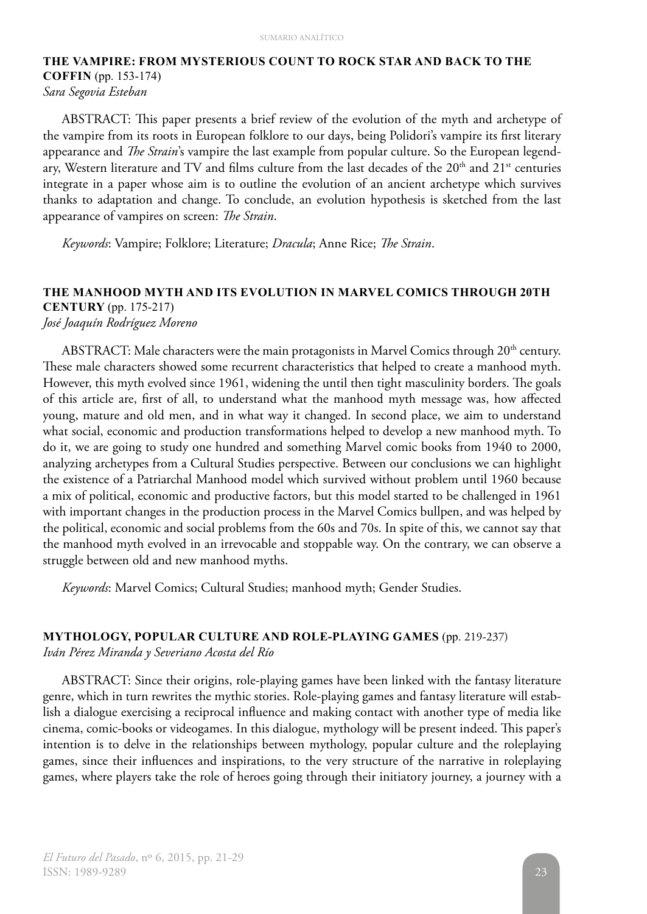## **THE VAMPIRE: FROM MYSTERIOUS COUNT TO ROCK STAR AND BACK TO THE COFFIN** (pp. 153-174) *Sara Segovia Esteban*

ABSTRACT: This paper presents a brief review of the evolution of the myth and archetype of the vampire from its roots in European folklore to our days, being Polidori's vampire its first literary appearance and *The Strain*'s vampire the last example from popular culture. So the European legendary, Western literature and TV and films culture from the last decades of the 20<sup>th</sup> and 21<sup>st</sup> centuries integrate in a paper whose aim is to outline the evolution of an ancient archetype which survives thanks to adaptation and change. To conclude, an evolution hypothesis is sketched from the last appearance of vampires on screen: *The Strain*.

*Keywords*: Vampire; Folklore; Literature; *Dracula*; Anne Rice; *The Strain*.

#### **THE MANHOOD MYTH AND ITS EVOLUTION IN MARVEL COMICS THROUGH 20TH CENTURY** (pp. 175-217) *José Joaquín Rodríguez Moreno*

ABSTRACT: Male characters were the main protagonists in Marvel Comics through 20<sup>th</sup> century. These male characters showed some recurrent characteristics that helped to create a manhood myth. However, this myth evolved since 1961, widening the until then tight masculinity borders. The goals of this article are, first of all, to understand what the manhood myth message was, how affected young, mature and old men, and in what way it changed. In second place, we aim to understand what social, economic and production transformations helped to develop a new manhood myth. To do it, we are going to study one hundred and something Marvel comic books from 1940 to 2000, analyzing archetypes from a Cultural Studies perspective. Between our conclusions we can highlight the existence of a Patriarchal Manhood model which survived without problem until 1960 because a mix of political, economic and productive factors, but this model started to be challenged in 1961 with important changes in the production process in the Marvel Comics bullpen, and was helped by the political, economic and social problems from the 60s and 70s. In spite of this, we cannot say that the manhood myth evolved in an irrevocable and stoppable way. On the contrary, we can observe a struggle between old and new manhood myths.

*Keywords*: Marvel Comics; Cultural Studies; manhood myth; Gender Studies.

#### **MYTHOLOGY, POPULAR CULTURE AND ROLE-PLAYING GAMES** (pp. 219-237)

*Iván Pérez Miranda y Severiano Acosta del Río*

ABSTRACT: Since their origins, role-playing games have been linked with the fantasy literature genre, which in turn rewrites the mythic stories. Role-playing games and fantasy literature will establish a dialogue exercising a reciprocal influence and making contact with another type of media like cinema, comic-books or videogames. In this dialogue, mythology will be present indeed. This paper's intention is to delve in the relationships between mythology, popular culture and the roleplaying games, since their influences and inspirations, to the very structure of the narrative in roleplaying games, where players take the role of heroes going through their initiatory journey, a journey with a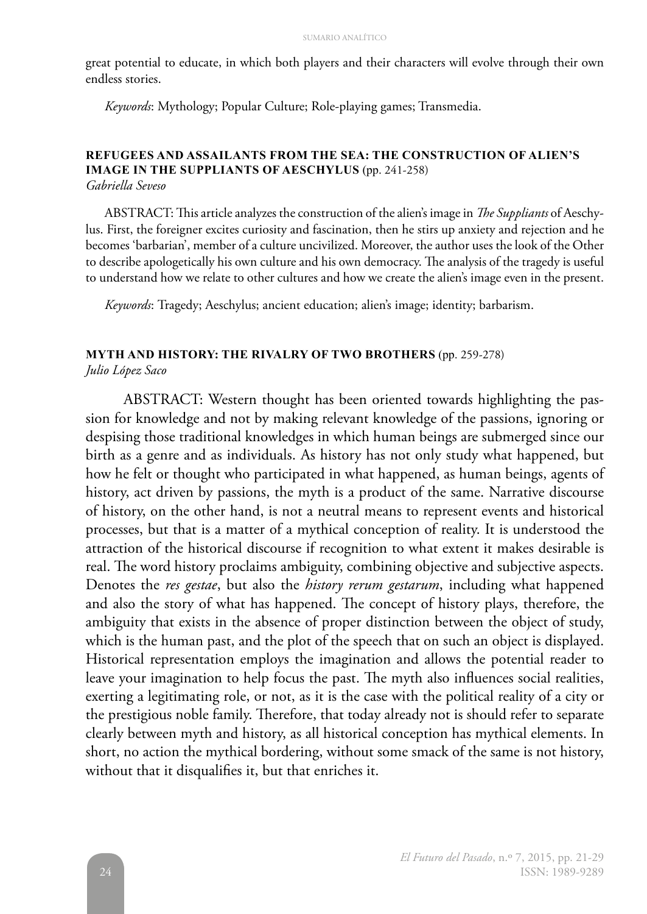great potential to educate, in which both players and their characters will evolve through their own endless stories.

*Keywords*: Mythology; Popular Culture; Role-playing games; Transmedia.

#### **REFUGEES AND ASSAILANTS FROM THE SEA: THE CONSTRUCTION OF ALIEN'S IMAGE IN THE SUPPLIANTS OF AESCHYLUS** (pp. 241-258) *Gabriella Seveso*

ABSTRACT: This article analyzes the construction of the alien's image in *The Suppliants* of Aeschylus. First, the foreigner excites curiosity and fascination, then he stirs up anxiety and rejection and he becomes 'barbarian', member of a culture uncivilized. Moreover, the author uses the look of the Other to describe apologetically his own culture and his own democracy. The analysis of the tragedy is useful to understand how we relate to other cultures and how we create the alien's image even in the present.

*Keywords*: Tragedy; Aeschylus; ancient education; alien's image; identity; barbarism.

#### **MYTH AND HISTORY: THE RIVALRY OF TWO BROTHERS** (pp. 259-278)

*Julio López Saco*

ABSTRACT: Western thought has been oriented towards highlighting the passion for knowledge and not by making relevant knowledge of the passions, ignoring or despising those traditional knowledges in which human beings are submerged since our birth as a genre and as individuals. As history has not only study what happened, but how he felt or thought who participated in what happened, as human beings, agents of history, act driven by passions, the myth is a product of the same. Narrative discourse of history, on the other hand, is not a neutral means to represent events and historical processes, but that is a matter of a mythical conception of reality. It is understood the attraction of the historical discourse if recognition to what extent it makes desirable is real. The word history proclaims ambiguity, combining objective and subjective aspects. Denotes the *res gestae*, but also the *history rerum gestarum*, including what happened and also the story of what has happened. The concept of history plays, therefore, the ambiguity that exists in the absence of proper distinction between the object of study, which is the human past, and the plot of the speech that on such an object is displayed. Historical representation employs the imagination and allows the potential reader to leave your imagination to help focus the past. The myth also influences social realities, exerting a legitimating role, or not, as it is the case with the political reality of a city or the prestigious noble family. Therefore, that today already not is should refer to separate clearly between myth and history, as all historical conception has mythical elements. In short, no action the mythical bordering, without some smack of the same is not history, without that it disqualifies it, but that enriches it.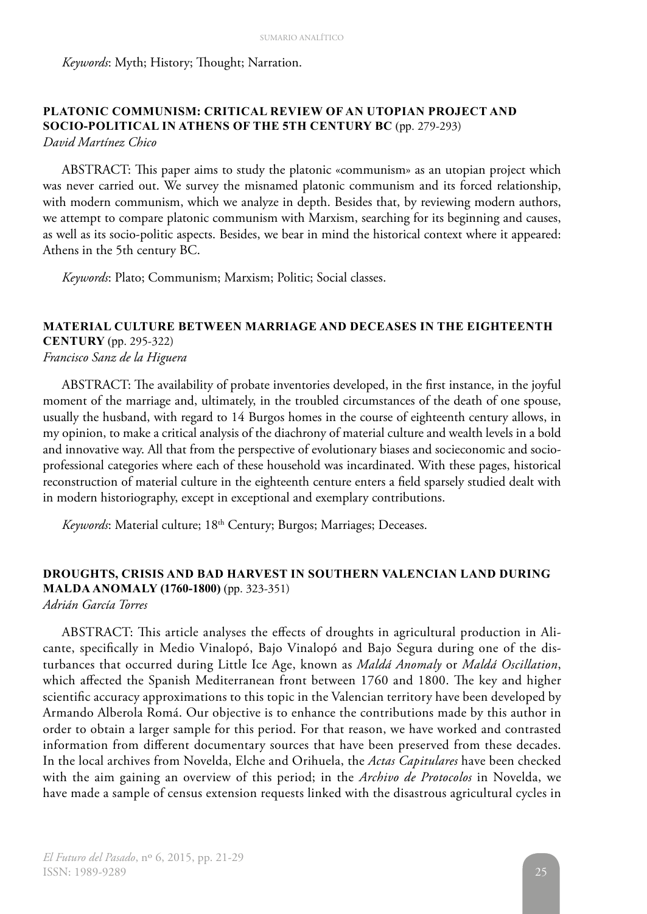*Keywords*: Myth; History; Thought; Narration.

#### **PLATONIC COMMUNISM: CRITICAL REVIEW OF AN UTOPIAN PROJECT AND SOCIO-POLITICAL IN ATHENS OF THE 5TH CENTURY BC** (pp. 279-293) *David Martínez Chico*

ABSTRACT: This paper aims to study the platonic «communism» as an utopian project which was never carried out. We survey the misnamed platonic communism and its forced relationship, with modern communism, which we analyze in depth. Besides that, by reviewing modern authors, we attempt to compare platonic communism with Marxism, searching for its beginning and causes, as well as its socio-politic aspects. Besides, we bear in mind the historical context where it appeared: Athens in the 5th century BC.

*Keywords*: Plato; Communism; Marxism; Politic; Social classes.

## **MATERIAL CULTURE BETWEEN MARRIAGE AND DECEASES IN THE EIGHTEENTH CENTURY** (pp. 295-322) *Francisco Sanz de la Higuera*

ABSTRACT: The availability of probate inventories developed, in the first instance, in the joyful moment of the marriage and, ultimately, in the troubled circumstances of the death of one spouse, usually the husband, with regard to 14 Burgos homes in the course of eighteenth century allows, in my opinion, to make a critical analysis of the diachrony of material culture and wealth levels in a bold and innovative way. All that from the perspective of evolutionary biases and socieconomic and socioprofessional categories where each of these household was incardinated. With these pages, historical reconstruction of material culture in the eighteenth centure enters a field sparsely studied dealt with in modern historiography, except in exceptional and exemplary contributions.

*Keywords*: Material culture; 18th Century; Burgos; Marriages; Deceases.

## **DROUGHTS, CRISIS AND BAD HARVEST IN SOUTHERN VALENCIAN LAND DURING MALDA ANOMALY (1760-1800)** (pp. 323-351)

*Adrián García Torres*

ABSTRACT: This article analyses the effects of droughts in agricultural production in Alicante, specifically in Medio Vinalopó, Bajo Vinalopó and Bajo Segura during one of the disturbances that occurred during Little Ice Age, known as *Maldá Anomaly* or *Maldá Oscillation*, which affected the Spanish Mediterranean front between 1760 and 1800. The key and higher scientific accuracy approximations to this topic in the Valencian territory have been developed by Armando Alberola Romá. Our objective is to enhance the contributions made by this author in order to obtain a larger sample for this period. For that reason, we have worked and contrasted information from different documentary sources that have been preserved from these decades. In the local archives from Novelda, Elche and Orihuela, the *Actas Capitulares* have been checked with the aim gaining an overview of this period; in the *Archivo de Protocolos* in Novelda, we have made a sample of census extension requests linked with the disastrous agricultural cycles in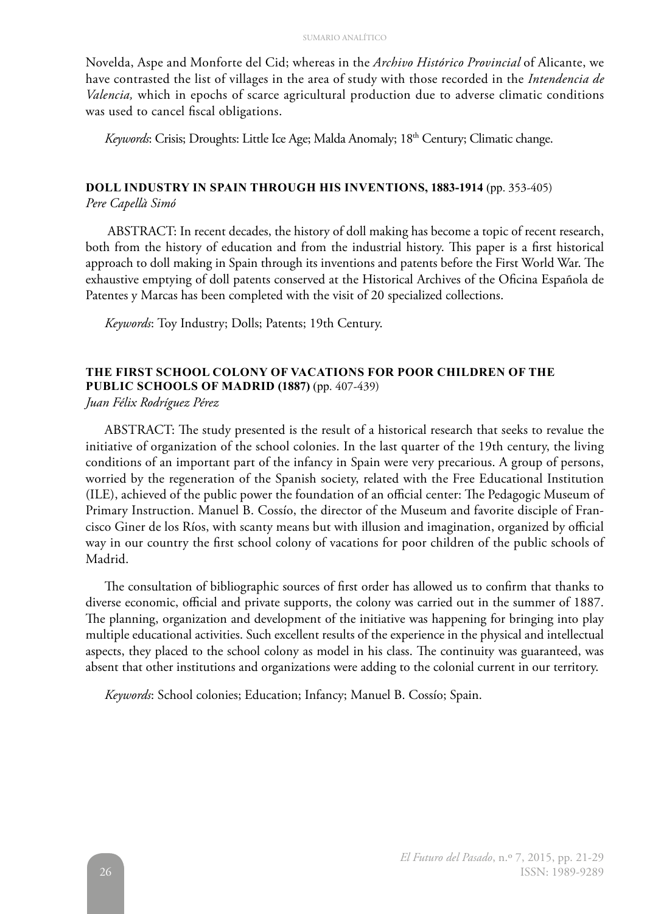Novelda, Aspe and Monforte del Cid; whereas in the *Archivo Histórico Provincial* of Alicante, we have contrasted the list of villages in the area of study with those recorded in the *Intendencia de Valencia,* which in epochs of scarce agricultural production due to adverse climatic conditions was used to cancel fiscal obligations.

Keywords: Crisis; Droughts: Little Ice Age; Malda Anomaly; 18<sup>th</sup> Century; Climatic change.

## **DOLL INDUSTRY IN SPAIN THROUGH HIS INVENTIONS, 1883-1914** (pp. 353-405)

*Pere Capellà Simó*

 ABSTRACT: In recent decades, the history of doll making has become a topic of recent research, both from the history of education and from the industrial history. This paper is a first historical approach to doll making in Spain through its inventions and patents before the First World War. The exhaustive emptying of doll patents conserved at the Historical Archives of the Oficina Española de Patentes y Marcas has been completed with the visit of 20 specialized collections.

*Keywords*: Toy Industry; Dolls; Patents; 19th Century.

#### **THE FIRST SCHOOL COLONY OF VACATIONS FOR POOR CHILDREN OF THE PUBLIC SCHOOLS OF MADRID (1887)** (pp. 407-439)

*Juan Félix Rodríguez Pérez*

ABSTRACT: The study presented is the result of a historical research that seeks to revalue the initiative of organization of the school colonies. In the last quarter of the 19th century, the living conditions of an important part of the infancy in Spain were very precarious. A group of persons, worried by the regeneration of the Spanish society, related with the Free Educational Institution (ILE), achieved of the public power the foundation of an official center: The Pedagogic Museum of Primary Instruction. Manuel B. Cossío, the director of the Museum and favorite disciple of Francisco Giner de los Ríos, with scanty means but with illusion and imagination, organized by official way in our country the first school colony of vacations for poor children of the public schools of Madrid.

The consultation of bibliographic sources of first order has allowed us to confirm that thanks to diverse economic, official and private supports, the colony was carried out in the summer of 1887. The planning, organization and development of the initiative was happening for bringing into play multiple educational activities. Such excellent results of the experience in the physical and intellectual aspects, they placed to the school colony as model in his class. The continuity was guaranteed, was absent that other institutions and organizations were adding to the colonial current in our territory.

*Keywords*: School colonies; Education; Infancy; Manuel B. Cossío; Spain.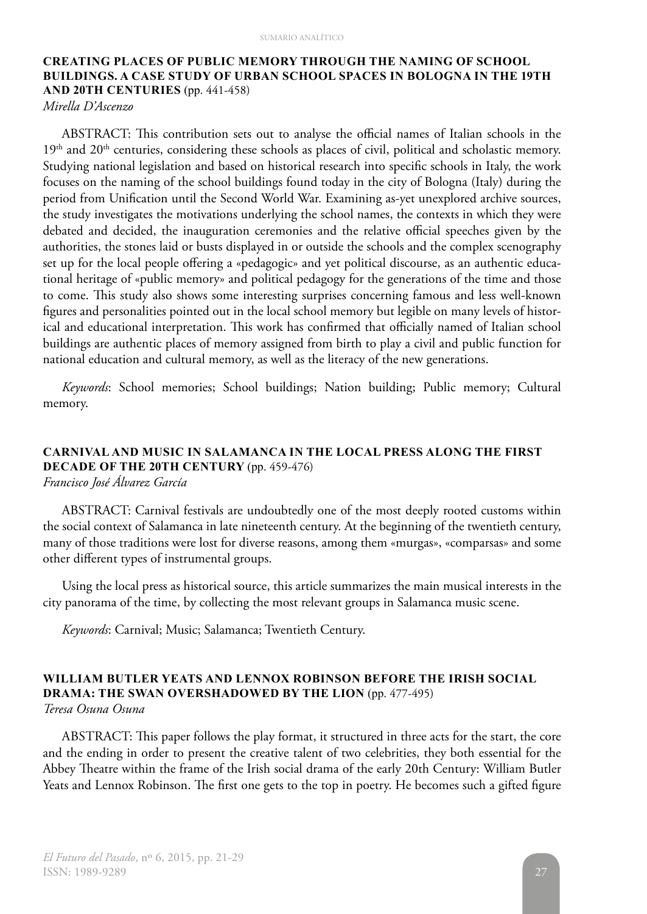## **CREATING PLACES OF PUBLIC MEMORY THROUGH THE NAMING OF SCHOOL BUILDINGS. A CASE STUDY OF URBAN SCHOOL SPACES IN BOLOGNA IN THE 19TH AND 20TH CENTURIES** (pp. 441-458)

*Mirella D'Ascenzo*

ABSTRACT: This contribution sets out to analyse the official names of Italian schools in the  $19<sup>th</sup>$  and  $20<sup>th</sup>$  centuries, considering these schools as places of civil, political and scholastic memory. Studying national legislation and based on historical research into specific schools in Italy, the work focuses on the naming of the school buildings found today in the city of Bologna (Italy) during the period from Unification until the Second World War. Examining as-yet unexplored archive sources, the study investigates the motivations underlying the school names, the contexts in which they were debated and decided, the inauguration ceremonies and the relative official speeches given by the authorities, the stones laid or busts displayed in or outside the schools and the complex scenography set up for the local people offering a «pedagogic» and yet political discourse, as an authentic educational heritage of «public memory» and political pedagogy for the generations of the time and those to come. This study also shows some interesting surprises concerning famous and less well-known figures and personalities pointed out in the local school memory but legible on many levels of historical and educational interpretation. This work has confirmed that officially named of Italian school buildings are authentic places of memory assigned from birth to play a civil and public function for national education and cultural memory, as well as the literacy of the new generations.

*Keywords*: School memories; School buildings; Nation building; Public memory; Cultural memory.

#### **CARNIVAL AND MUSIC IN SALAMANCA IN THE LOCAL PRESS ALONG THE FIRST DECADE OF THE 20TH CENTURY** (pp. 459-476) *Francisco José Álvarez García*

ABSTRACT: Carnival festivals are undoubtedly one of the most deeply rooted customs within the social context of Salamanca in late nineteenth century. At the beginning of the twentieth century, many of those traditions were lost for diverse reasons, among them «murgas», «comparsas» and some other different types of instrumental groups.

Using the local press as historical source, this article summarizes the main musical interests in the city panorama of the time, by collecting the most relevant groups in Salamanca music scene.

*Keywords*: Carnival; Music; Salamanca; Twentieth Century.

#### **WILLIAM BUTLER YEATS AND LENNOX ROBINSON BEFORE THE IRISH SOCIAL DRAMA: THE SWAN OVERSHADOWED BY THE LION** (pp. 477-495) *Teresa Osuna Osuna*

ABSTRACT: This paper follows the play format, it structured in three acts for the start, the core and the ending in order to present the creative talent of two celebrities, they both essential for the Abbey Theatre within the frame of the Irish social drama of the early 20th Century: William Butler Yeats and Lennox Robinson. The first one gets to the top in poetry. He becomes such a gifted figure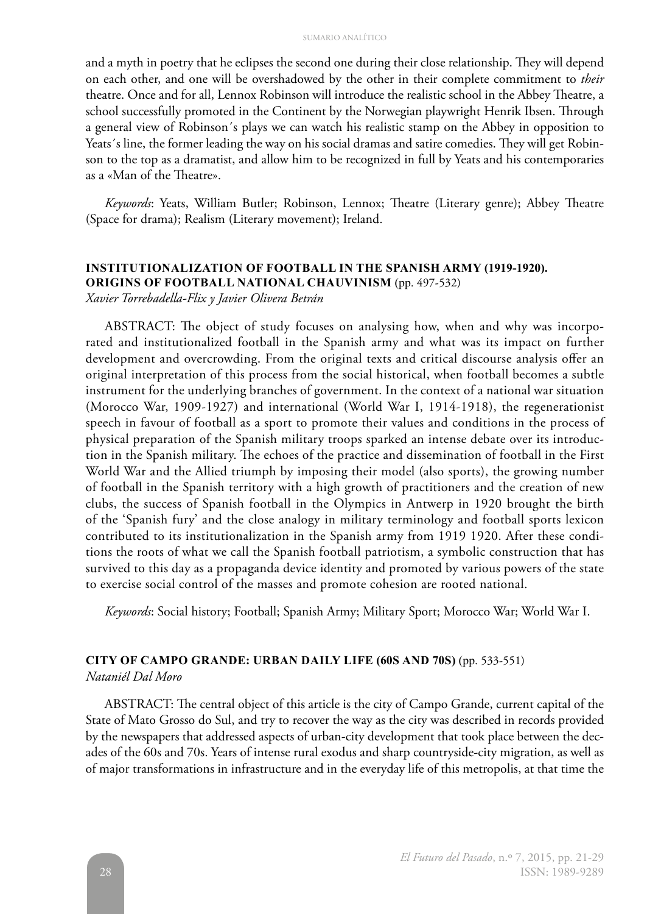and a myth in poetry that he eclipses the second one during their close relationship. They will depend on each other, and one will be overshadowed by the other in their complete commitment to *their* theatre. Once and for all, Lennox Robinson will introduce the realistic school in the Abbey Theatre, a school successfully promoted in the Continent by the Norwegian playwright Henrik Ibsen. Through a general view of Robinson´s plays we can watch his realistic stamp on the Abbey in opposition to Yeats´s line, the former leading the way on his social dramas and satire comedies. They will get Robinson to the top as a dramatist, and allow him to be recognized in full by Yeats and his contemporaries as a «Man of the Theatre».

*Keywords*: Yeats, William Butler; Robinson, Lennox; Theatre (Literary genre); Abbey Theatre (Space for drama); Realism (Literary movement); Ireland.

# **INSTITUTIONALIZATION OF FOOTBALL IN THE SPANISH ARMY (1919-1920).**

**ORIGINS OF FOOTBALL NATIONAL CHAUVINISM** (pp. 497-532)

*Xavier Torrebadella-Flix y Javier Olivera Betrán*

ABSTRACT: The object of study focuses on analysing how, when and why was incorporated and institutionalized football in the Spanish army and what was its impact on further development and overcrowding. From the original texts and critical discourse analysis offer an original interpretation of this process from the social historical, when football becomes a subtle instrument for the underlying branches of government. In the context of a national war situation (Morocco War, 1909-1927) and international (World War I, 1914-1918), the regenerationist speech in favour of football as a sport to promote their values and conditions in the process of physical preparation of the Spanish military troops sparked an intense debate over its introduction in the Spanish military. The echoes of the practice and dissemination of football in the First World War and the Allied triumph by imposing their model (also sports), the growing number of football in the Spanish territory with a high growth of practitioners and the creation of new clubs, the success of Spanish football in the Olympics in Antwerp in 1920 brought the birth of the 'Spanish fury' and the close analogy in military terminology and football sports lexicon contributed to its institutionalization in the Spanish army from 1919 1920. After these conditions the roots of what we call the Spanish football patriotism, a symbolic construction that has survived to this day as a propaganda device identity and promoted by various powers of the state to exercise social control of the masses and promote cohesion are rooted national.

*Keywords*: Social history; Football; Spanish Army; Military Sport; Morocco War; World War I.

#### **CITY OF CAMPO GRANDE: URBAN DAILY LIFE (60S AND 70S)** (pp. 533-551)

*Nataniél Dal Moro*

ABSTRACT: The central object of this article is the city of Campo Grande, current capital of the State of Mato Grosso do Sul, and try to recover the way as the city was described in records provided by the newspapers that addressed aspects of urban-city development that took place between the decades of the 60s and 70s. Years of intense rural exodus and sharp countryside-city migration, as well as of major transformations in infrastructure and in the everyday life of this metropolis, at that time the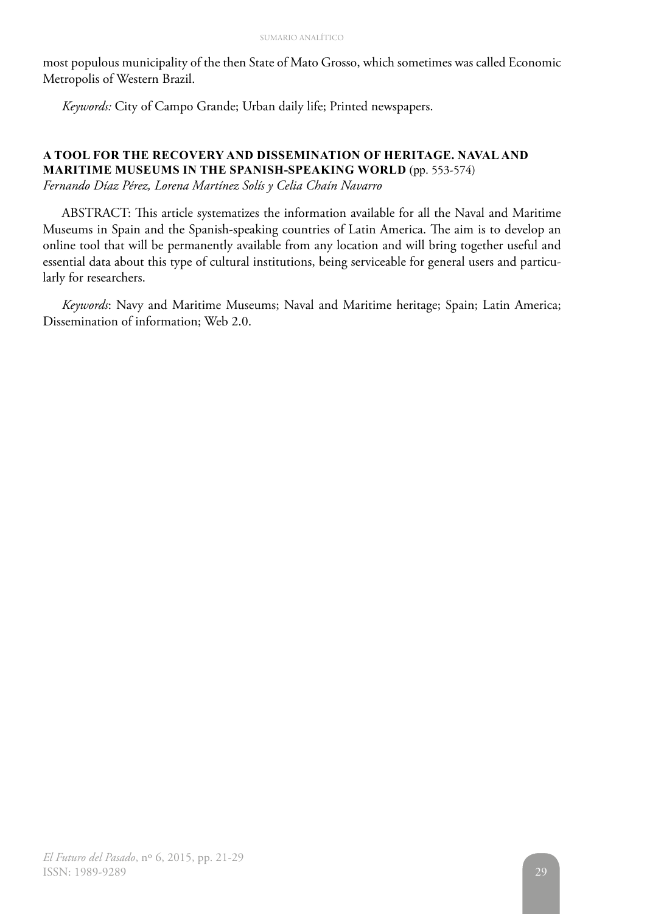most populous municipality of the then State of Mato Grosso, which sometimes was called Economic Metropolis of Western Brazil.

*Keywords:* City of Campo Grande; Urban daily life; Printed newspapers.

# **A TOOL FOR THE RECOVERY AND DISSEMINATION OF HERITAGE. NAVAL AND MARITIME MUSEUMS IN THE SPANISH-SPEAKING WORLD** (pp. 553-574)

*Fernando Díaz Pérez, Lorena Martínez Solís y Celia Chaín Navarro*

ABSTRACT: This article systematizes the information available for all the Naval and Maritime Museums in Spain and the Spanish-speaking countries of Latin America. The aim is to develop an online tool that will be permanently available from any location and will bring together useful and essential data about this type of cultural institutions, being serviceable for general users and particularly for researchers.

*Keywords*: Navy and Maritime Museums; Naval and Maritime heritage; Spain; Latin America; Dissemination of information; Web 2.0.